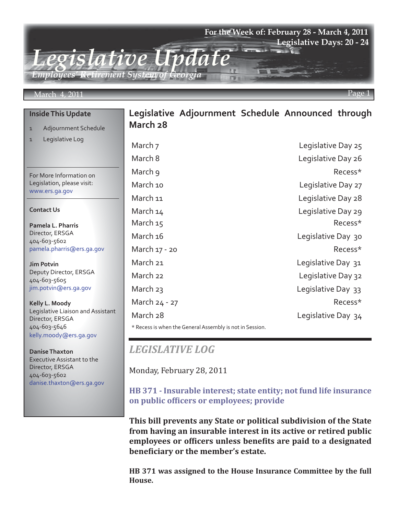## **For the Week of: February 28 - March 4, 2011 Legislative Days: 20 - 24**

*Legislative Update Employees' Retirement System of Georgia*

#### March 4, 2011 Page 1

**Inside This Update**

1 Legislative Log

### 1 Adjournment Schedule **Legislative Adjournment Schedule Announced through March 28**

For More Information on Legislation, please visit: www.ers.ga.gov

#### **Contact Us**

**Pamela L. Pharris** Director, ERSGA 404-603-5602 pamela.pharris@ers.ga.gov

**Jim Potvin** Deputy Director, ERSGA 404-603-5605 jim.potvin@ers.ga.gov

**Kelly L. Moody** Legislative Liaison and Assistant Director, ERSGA 404-603-5646 kelly.moody@ers.ga.gov

**Danise Thaxton** Executive Assistant to the Director, ERSGA 404-603-5602 danise.thaxton@ers.ga.gov

| March ⁊                                                 | Legislative Day 25 |
|---------------------------------------------------------|--------------------|
| March 8                                                 | Legislative Day 26 |
| March 9                                                 | Recess*            |
| March 10                                                | Legislative Day 27 |
| March 11                                                | Legislative Day 28 |
| March 14                                                | Legislative Day 29 |
| March 15                                                | Recess*            |
| March 16                                                | Legislative Day 30 |
| March 17 - 20                                           | Recess*            |
| March 21                                                | Legislative Day 31 |
| March 22                                                | Legislative Day 32 |
| March 23                                                | Legislative Day 33 |
| March 24 - 27                                           | Recess*            |
| March 28                                                | Legislative Day 34 |
| * Pocoss is whop the General Assembly is not in Session |                    |

General Assembly is not in Session.

# *LEGISLATIVE LOG*

Monday, February 28, 2011

# **[HB 371 - Insurable interest; state entity; not fund life insurance](http://www.legis.ga.gov/Legislation/20112012/111160.pdf)  on public officers or employees; provide**

**This bill prevents any State or political subdivision of the State from having an insurable interest in its active or retired public employees or officers unless benefits are paid to a designated beneficiary or the member's estate.**

**HB 371 was assigned to the House Insurance Committee by the full House.**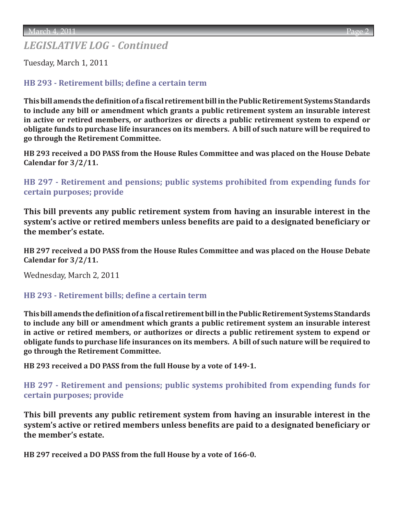# *LEGISLATIVE LOG - Continued*

Tuesday, March 1, 2011

# **[HB 293 - Retirement bills; define a certain term](http://www.legis.ga.gov/Legislation/20112012/110554.pdf)**

**This bill amends the definition of a fiscal retirement bill in the Public Retirement Systems Standards to include any bill or amendment which grants a public retirement system an insurable interest in active or retired members, or authorizes or directs a public retirement system to expend or obligate funds to purchase life insurances on its members. A bill of such nature will be required to go through the Retirement Committee.** 

**HB 293 received a DO PASS from the House Rules Committee and was placed on the House Debate Calendar for 3/2/11.**

**[HB 297 - Retirement and pensions; public systems prohibited from expending funds for](http://www.legis.ga.gov/Legislation/20112012/110561.pdf)  certain purposes; provide**

**This bill prevents any public retirement system from having an insurable interest in the system's active or retired members unless benefits are paid to a designated beneficiary or the member's estate.**

**HB 297 received a DO PASS from the House Rules Committee and was placed on the House Debate Calendar for 3/2/11.**

Wednesday, March 2, 2011

## **[HB 293 - Retirement bills; define a certain term](http://www.legis.ga.gov/Legislation/20112012/110554.pdf)**

**This bill amends the definition of a fiscal retirement bill in the Public Retirement Systems Standards to include any bill or amendment which grants a public retirement system an insurable interest in active or retired members, or authorizes or directs a public retirement system to expend or obligate funds to purchase life insurances on its members. A bill of such nature will be required to go through the Retirement Committee.** 

**HB 293 received a DO PASS from the full House by a vote of 149-1.**

**[HB 297 - Retirement and pensions; public systems prohibited from expending funds for](http://www.legis.ga.gov/Legislation/20112012/110561.pdf)  certain purposes; provide**

**This bill prevents any public retirement system from having an insurable interest in the system's active or retired members unless benefits are paid to a designated beneficiary or the member's estate.**

**HB 297 received a DO PASS from the full House by a vote of 166-0.**